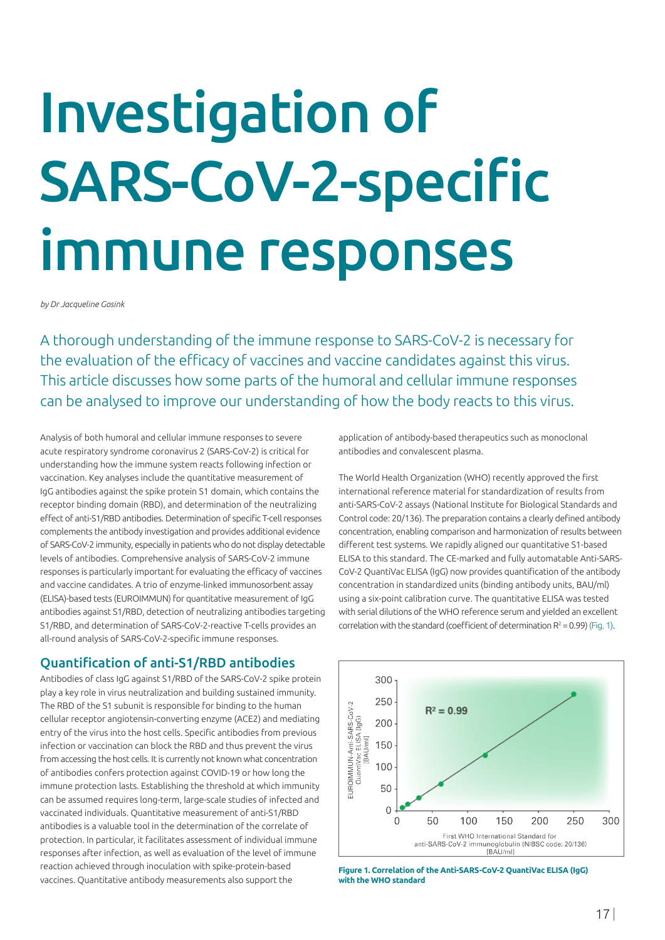# Investigation of SARS-CoV-2-specific immune responses

*by Dr Jacqueline Gosink*

A thorough understanding of the immune response to SARS-CoV-2 is necessary for the evaluation of the efficacy of vaccines and vaccine candidates against this virus. This article discusses how some parts of the humoral and cellular immune responses can be analysed to improve our understanding of how the body reacts to this virus.

Analysis of both humoral and cellular immune responses to severe acute respiratory syndrome coronavirus 2 (SARS-CoV-2) is critical for understanding how the immune system reacts following infection or vaccination. Key analyses include the quantitative measurement of IgG antibodies against the spike protein S1 domain, which contains the receptor binding domain (RBD), and determination of the neutralizing effect of anti-S1/RBD antibodies. Determination of specific T-cell responses complements the antibody investigation and provides additional evidence of SARS-CoV-2 immunity, especially in patients who do not display detectable levels of antibodies. Comprehensive analysis of SARS-CoV-2 immune responses is particularly important for evaluating the efficacy of vaccines and vaccine candidates. A trio of enzyme-linked immunosorbent assay (ELISA)-based tests (EUROIMMUN) for quantitative measurement of IgG antibodies against S1/RBD, detection of neutralizing antibodies targeting S1/RBD, and determination of SARS-CoV-2-reactive T-cells provides an all-round analysis of SARS-CoV-2-specific immune responses.

### Quantification of anti-S1/RBD antibodies

Antibodies of class IgG against S1/RBD of the SARS-CoV-2 spike protein play a key role in virus neutralization and building sustained immunity. The RBD of the S1 subunit is responsible for binding to the human cellular receptor angiotensin-converting enzyme (ACE2) and mediating entry of the virus into the host cells. Specific antibodies from previous infection or vaccination can block the RBD and thus prevent the virus from accessing the host cells. It is currently not known what concentration of antibodies confers protection against COVID-19 or how long the immune protection lasts. Establishing the threshold at which immunity can be assumed requires long-term, large-scale studies of infected and vaccinated individuals. Quantitative measurement of anti-S1/RBD antibodies is a valuable tool in the determination of the correlate of protection. In particular, it facilitates assessment of individual immune responses after infection, as well as evaluation of the level of immune reaction achieved through inoculation with spike-protein-based vaccines. Quantitative antibody measurements also support the

application of antibody-based therapeutics such as monoclonal antibodies and convalescent plasma.

The World Health Organization (WHO) recently approved the first international reference material for standardization of results from anti-SARS-CoV-2 assays (National Institute for Biological Standards and Control code: 20/136). The preparation contains a clearly defined antibody concentration, enabling comparison and harmonization of results between different test systems. We rapidly aligned our quantitative S1-based ELISA to this standard. The CE-marked and fully automatable Anti-SARS-CoV-2 QuantiVac ELISA (IgG) now provides quantification of the antibody concentration in standardized units (binding antibody units, BAU/ml) using a six-point calibration curve. The quantitative ELISA was tested with serial dilutions of the WHO reference serum and yielded an excellent correlation with the standard (coefficient of determination  $R^2 = 0.99$ ) (Fig. 1).



**Figure 1. Correlation of the Anti-SARS-CoV-2 QuantiVac ELISA (IgG) with the WHO standard**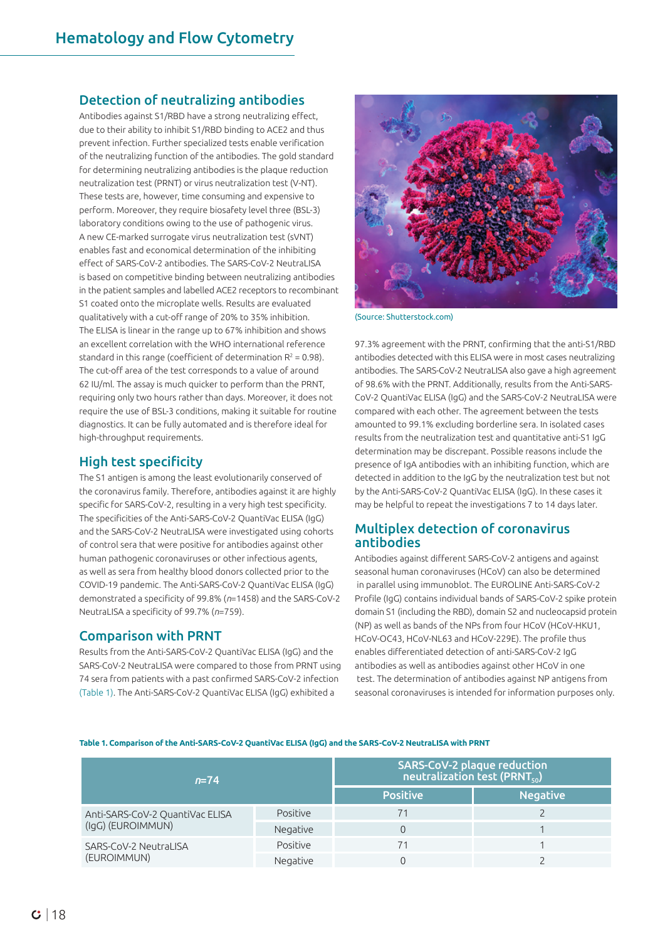#### Detection of neutralizing antibodies

Antibodies against S1/RBD have a strong neutralizing effect, due to their ability to inhibit S1/RBD binding to ACE2 and thus prevent infection. Further specialized tests enable verification of the neutralizing function of the antibodies. The gold standard for determining neutralizing antibodies is the plaque reduction neutralization test (PRNT) or virus neutralization test (V-NT). These tests are, however, time consuming and expensive to perform. Moreover, they require biosafety level three (BSL-3) laboratory conditions owing to the use of pathogenic virus. A new CE-marked surrogate virus neutralization test (sVNT) enables fast and economical determination of the inhibiting effect of SARS-CoV-2 antibodies. The SARS-CoV-2 NeutraLISA is based on competitive binding between neutralizing antibodies in the patient samples and labelled ACE2 receptors to recombinant S1 coated onto the microplate wells. Results are evaluated qualitatively with a cut-off range of 20% to 35% inhibition. The ELISA is linear in the range up to 67% inhibition and shows an excellent correlation with the WHO international reference standard in this range (coefficient of determination  $R^2 = 0.98$ ). The cut-off area of the test corresponds to a value of around 62 IU/ml. The assay is much quicker to perform than the PRNT, requiring only two hours rather than days. Moreover, it does not require the use of BSL-3 conditions, making it suitable for routine diagnostics. It can be fully automated and is therefore ideal for high-throughput requirements.

#### High test specificity

The S1 antigen is among the least evolutionarily conserved of the coronavirus family. Therefore, antibodies against it are highly specific for SARS-CoV-2, resulting in a very high test specificity. The specificities of the Anti-SARS-CoV-2 QuantiVac ELISA (IgG) and the SARS-CoV-2 NeutraLISA were investigated using cohorts of control sera that were positive for antibodies against other human pathogenic coronaviruses or other infectious agents, as well as sera from healthy blood donors collected prior to the COVID-19 pandemic. The Anti-SARS-CoV-2 QuantiVac ELISA (IgG) demonstrated a specificity of 99.8% (*n*=1458) and the SARS-CoV-2 NeutraLISA a specificity of 99.7% (*n*=759).

#### Comparison with PRNT

Results from the Anti-SARS-CoV-2 QuantiVac ELISA (IgG) and the SARS-CoV-2 NeutraLISA were compared to those from PRNT using 74 sera from patients with a past confirmed SARS-CoV-2 infection (Table 1). The Anti-SARS-CoV-2 QuantiVac ELISA (IgG) exhibited a



(Source: Shutterstock.com)

97.3% agreement with the PRNT, confirming that the anti-S1/RBD antibodies detected with this ELISA were in most cases neutralizing antibodies. The SARS-CoV-2 NeutraLISA also gave a high agreement of 98.6% with the PRNT. Additionally, results from the Anti-SARS-CoV-2 QuantiVac ELISA (IgG) and the SARS-CoV-2 NeutraLISA were compared with each other. The agreement between the tests amounted to 99.1% excluding borderline sera. In isolated cases results from the neutralization test and quantitative anti-S1 IgG determination may be discrepant. Possible reasons include the presence of IgA antibodies with an inhibiting function, which are detected in addition to the IgG by the neutralization test but not by the Anti-SARS-CoV-2 QuantiVac ELISA (IgG). In these cases it may be helpful to repeat the investigations 7 to 14 days later.

#### Multiplex detection of coronavirus antibodies

Antibodies against different SARS-CoV-2 antigens and against seasonal human coronaviruses (HCoV) can also be determined in parallel using immunoblot. The EUROLINE Anti-SARS-CoV-2 Profile (IgG) contains individual bands of SARS-CoV-2 spike protein domain S1 (including the RBD), domain S2 and nucleocapsid protein (NP) as well as bands of the NPs from four HCoV (HCoV-HKU1, HCoV-OC43, HCoV-NL63 and HCoV-229E). The profile thus enables differentiated detection of anti-SARS-CoV-2 IgG antibodies as well as antibodies against other HCoV in one test. The determination of antibodies against NP antigens from seasonal coronaviruses is intended for information purposes only.

**Table 1. Comparison of the Anti-SARS-CoV-2 QuantiVac ELISA (IgG) and the SARS-CoV-2 NeutraLISA with PRNT**

| $n = 74$                                             |          | SARS-CoV-2 plaque reduction<br>$\sqrt{\mathsf{neutralization}}$ test (PRNT $_{\mathsf{so}}$ ) |                 |
|------------------------------------------------------|----------|-----------------------------------------------------------------------------------------------|-----------------|
|                                                      |          | <b>Positive</b>                                                                               | <b>Negative</b> |
| Anti-SARS-CoV-2 QuantiVac ELISA<br>(IgG) (EUROIMMUN) | Positive | 71                                                                                            |                 |
|                                                      | Negative |                                                                                               |                 |
| SARS-CoV-2 NeutraLISA<br>(EUROIMMUN)                 | Positive | 71                                                                                            |                 |
|                                                      | Negative |                                                                                               |                 |